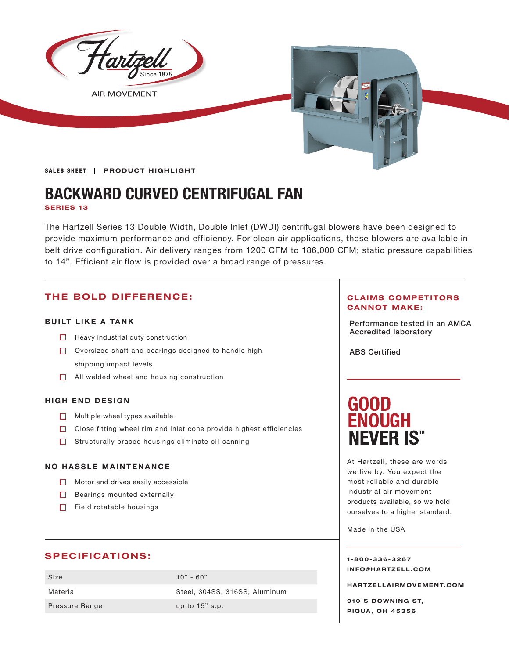

**BACKWARD CURVED CENTRIFUGAL FAN**

**SERIES 13**

The Hartzell Series 13 Double Width, Double Inlet (DWDI) centrifugal blowers have been designed to provide maximum performance and efficiency. For clean air applications, these blowers are available in belt drive configuration. Air delivery ranges from 1200 CFM to 186,000 CFM; static pressure capabilities to 14". Efficient air flow is provided over a broad range of pressures.

## **THE BOLD DIFFERENCE:**

### **BUILT LIKE A TANK**

- **Accredited laboratory Heavy industrial duty construction**
- $\Box$  Oversized shaft and bearings designed to handle high shipping impact levels
- □ All welded wheel and housing construction

### **HIGH END DESIGN**

- $\Box$  Multiple wheel types available
- $\Box$  Close fitting wheel rim and inlet cone provide highest efficiencies
- $\Box$  Structurally braced housings eliminate oil-canning

### **NO HASSLE MAINTENANCE**

- $\Box$  Motor and drives easily accessible
- Bearings mounted externally
- $\Box$  Field rotatable housings

### **SPECIFICATIONS:**

| Size           | $10" - 60"$                   |
|----------------|-------------------------------|
| Material       | Steel, 304SS, 316SS, Aluminum |
| Pressure Range | up to $15"$ s.p.              |

### **CLAIMS COMPETITORS CANNOT MAKE:**

Performance tested in an AMCA

ABS Certified

# **GOOD ENOUGH NEVER IS"**

At Hartzell, these are words we live by. You expect the most reliable and durable industrial air movement products available, so we hold ourselves to a higher standard.

Made in the USA

**1-800-336-3267 I N F O @ H A R T Z E L L . C OM** 

**HARTZELLA IRMOVEMENT.COM**

**910 S DOWNING ST, PIQUA, OH 45356**